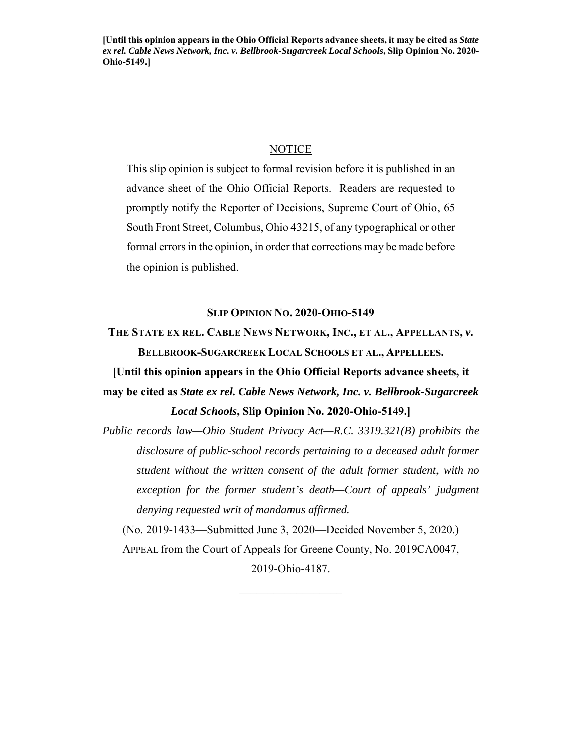**[Until this opinion appears in the Ohio Official Reports advance sheets, it may be cited as** *State ex rel. Cable News Network, Inc. v. Bellbrook-Sugarcreek Local Schools***, Slip Opinion No. 2020- Ohio-5149.]** 

## **NOTICE**

This slip opinion is subject to formal revision before it is published in an advance sheet of the Ohio Official Reports. Readers are requested to promptly notify the Reporter of Decisions, Supreme Court of Ohio, 65 South Front Street, Columbus, Ohio 43215, of any typographical or other formal errors in the opinion, in order that corrections may be made before the opinion is published.

#### **SLIP OPINION NO. 2020-OHIO-5149**

**THE STATE EX REL. CABLE NEWS NETWORK, INC., ET AL., APPELLANTS,** *v***. BELLBROOK-SUGARCREEK LOCAL SCHOOLS ET AL., APPELLEES.**

**[Until this opinion appears in the Ohio Official Reports advance sheets, it may be cited as** *State ex rel. Cable News Network, Inc. v. Bellbrook-Sugarcreek Local Schools***, Slip Opinion No. 2020-Ohio-5149.]** 

*Public records law—Ohio Student Privacy Act—R.C. 3319.321(B) prohibits the disclosure of public-school records pertaining to a deceased adult former student without the written consent of the adult former student, with no exception for the former student's death—Court of appeals' judgment denying requested writ of mandamus affirmed.* 

(No. 2019-1433—Submitted June 3, 2020—Decided November 5, 2020.) APPEAL from the Court of Appeals for Greene County, No. 2019CA0047,

2019-Ohio-4187.  $\frac{1}{2}$  ,  $\frac{1}{2}$  ,  $\frac{1}{2}$  ,  $\frac{1}{2}$  ,  $\frac{1}{2}$  ,  $\frac{1}{2}$  ,  $\frac{1}{2}$  ,  $\frac{1}{2}$  ,  $\frac{1}{2}$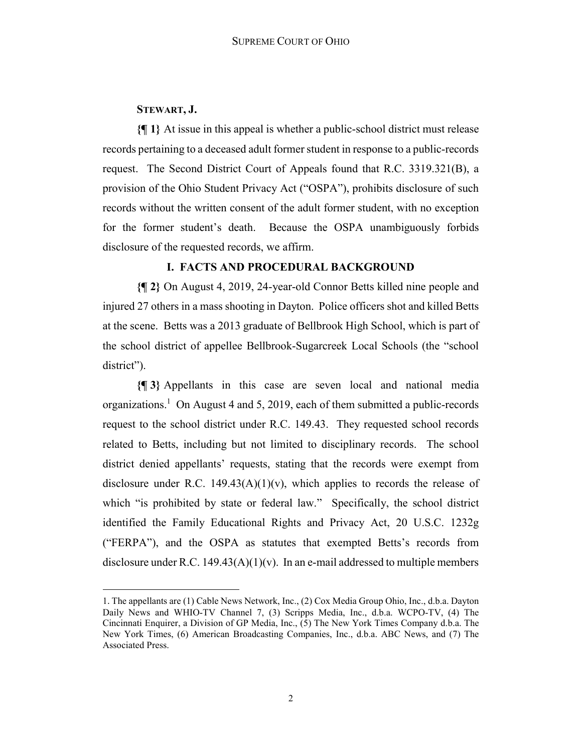## **STEWART, J.**

<u>.</u>

**{¶ 1}** At issue in this appeal is whether a public-school district must release records pertaining to a deceased adult former student in response to a public-records request. The Second District Court of Appeals found that R.C. 3319.321(B), a provision of the Ohio Student Privacy Act ("OSPA"), prohibits disclosure of such records without the written consent of the adult former student, with no exception for the former student's death. Because the OSPA unambiguously forbids disclosure of the requested records, we affirm.

# **I. FACTS AND PROCEDURAL BACKGROUND**

**{¶ 2}** On August 4, 2019, 24-year-old Connor Betts killed nine people and injured 27 others in a mass shooting in Dayton. Police officers shot and killed Betts at the scene. Betts was a 2013 graduate of Bellbrook High School, which is part of the school district of appellee Bellbrook-Sugarcreek Local Schools (the "school district").

**{¶ 3}** Appellants in this case are seven local and national media organizations.<sup>1</sup> On August 4 and 5, 2019, each of them submitted a public-records request to the school district under R.C. 149.43. They requested school records related to Betts, including but not limited to disciplinary records. The school district denied appellants' requests, stating that the records were exempt from disclosure under R.C. 149.43(A)(1)(v), which applies to records the release of which "is prohibited by state or federal law." Specifically, the school district identified the Family Educational Rights and Privacy Act, 20 U.S.C. 1232g ("FERPA"), and the OSPA as statutes that exempted Betts's records from disclosure under R.C. 149.43( $A$ )(1)(v). In an e-mail addressed to multiple members

<sup>1</sup>. The appellants are (1) Cable News Network, Inc., (2) Cox Media Group Ohio, Inc., d.b.a. Dayton Daily News and WHIO-TV Channel 7, (3) Scripps Media, Inc., d.b.a. WCPO-TV, (4) The Cincinnati Enquirer, a Division of GP Media, Inc., (5) The New York Times Company d.b.a. The New York Times, (6) American Broadcasting Companies, Inc., d.b.a. ABC News, and (7) The Associated Press.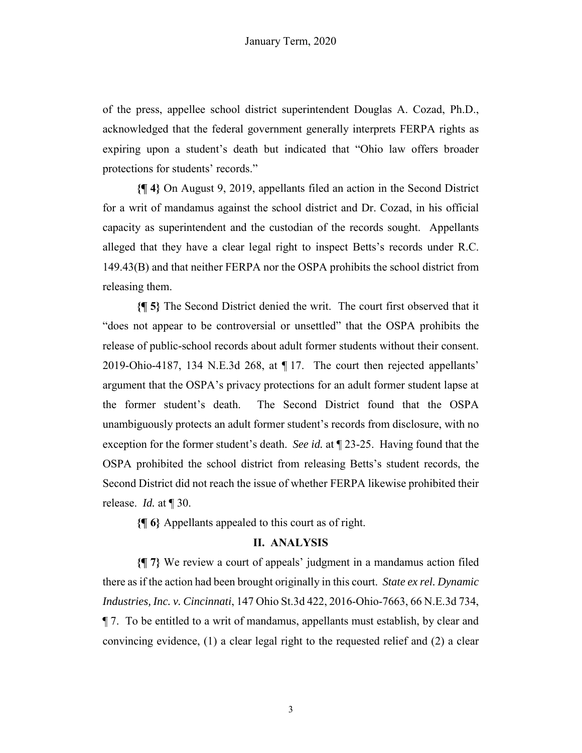of the press, appellee school district superintendent Douglas A. Cozad, Ph.D., acknowledged that the federal government generally interprets FERPA rights as expiring upon a student's death but indicated that "Ohio law offers broader protections for students' records."

**{¶ 4}** On August 9, 2019, appellants filed an action in the Second District for a writ of mandamus against the school district and Dr. Cozad, in his official capacity as superintendent and the custodian of the records sought. Appellants alleged that they have a clear legal right to inspect Betts's records under R.C. 149.43(B) and that neither FERPA nor the OSPA prohibits the school district from releasing them.

**{¶ 5}** The Second District denied the writ. The court first observed that it "does not appear to be controversial or unsettled" that the OSPA prohibits the release of public-school records about adult former students without their consent. 2019-Ohio-4187, 134 N.E.3d 268, at ¶ 17. The court then rejected appellants' argument that the OSPA's privacy protections for an adult former student lapse at the former student's death. The Second District found that the OSPA unambiguously protects an adult former student's records from disclosure, with no exception for the former student's death. *See id.* at ¶ 23-25. Having found that the OSPA prohibited the school district from releasing Betts's student records, the Second District did not reach the issue of whether FERPA likewise prohibited their release. *Id.* at ¶ 30.

**{¶ 6}** Appellants appealed to this court as of right.

## **II. ANALYSIS**

**{¶ 7}** We review a court of appeals' judgment in a mandamus action filed there as if the action had been brought originally in this court. *State ex rel. Dynamic Industries, Inc. v. Cincinnati*, 147 Ohio St.3d 422, 2016-Ohio-7663, 66 N.E.3d 734, ¶ 7. To be entitled to a writ of mandamus, appellants must establish, by clear and convincing evidence, (1) a clear legal right to the requested relief and (2) a clear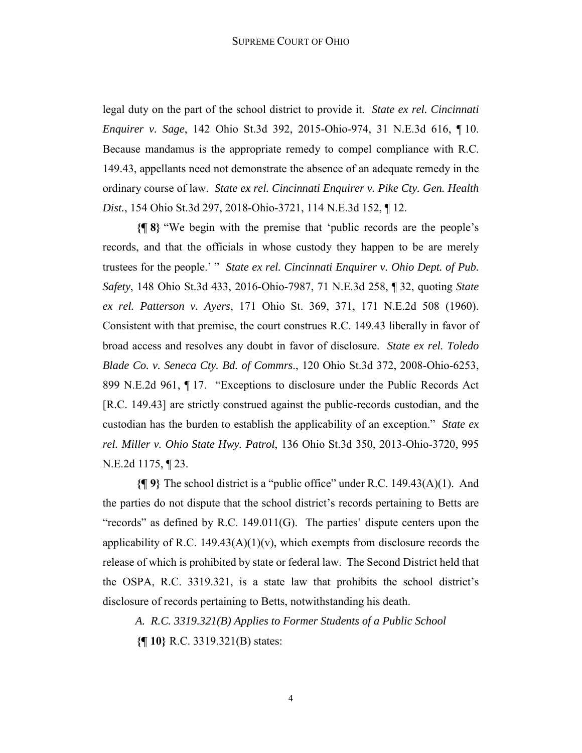legal duty on the part of the school district to provide it. *State ex rel. Cincinnati Enquirer v. Sage*, 142 Ohio St.3d 392, 2015-Ohio-974, 31 N.E.3d 616, ¶ 10. Because mandamus is the appropriate remedy to compel compliance with R.C. 149.43, appellants need not demonstrate the absence of an adequate remedy in the ordinary course of law. *State ex rel. Cincinnati Enquirer v. Pike Cty. Gen. Health Dist.*, 154 Ohio St.3d 297, 2018-Ohio-3721, 114 N.E.3d 152, ¶ 12.

**{¶ 8}** "We begin with the premise that 'public records are the people's records, and that the officials in whose custody they happen to be are merely trustees for the people.' " *State ex rel. Cincinnati Enquirer v. Ohio Dept. of Pub. Safety*, 148 Ohio St.3d 433, 2016-Ohio-7987, 71 N.E.3d 258, ¶ 32, quoting *State ex rel. Patterson v. Ayers*, 171 Ohio St. 369, 371, 171 N.E.2d 508 (1960). Consistent with that premise, the court construes R.C. 149.43 liberally in favor of broad access and resolves any doubt in favor of disclosure. *State ex rel. Toledo Blade Co. v. Seneca Cty. Bd. of Commrs*., 120 Ohio St.3d 372, 2008-Ohio-6253, 899 N.E.2d 961, ¶ 17. "Exceptions to disclosure under the Public Records Act [R.C. 149.43] are strictly construed against the public-records custodian, and the custodian has the burden to establish the applicability of an exception." *State ex rel. Miller v. Ohio State Hwy. Patrol*, 136 Ohio St.3d 350, 2013-Ohio-3720, 995 N.E.2d 1175, ¶ 23.

**{¶ 9}** The school district is a "public office" under R.C. 149.43(A)(1). And the parties do not dispute that the school district's records pertaining to Betts are "records" as defined by R.C. 149.011(G). The parties' dispute centers upon the applicability of R.C. 149.43(A)(1)(v), which exempts from disclosure records the release of which is prohibited by state or federal law. The Second District held that the OSPA, R.C. 3319.321, is a state law that prohibits the school district's disclosure of records pertaining to Betts, notwithstanding his death.

*A. R.C. 3319.321(B) Applies to Former Students of a Public School* 

**{¶ 10}** R.C. 3319.321(B) states: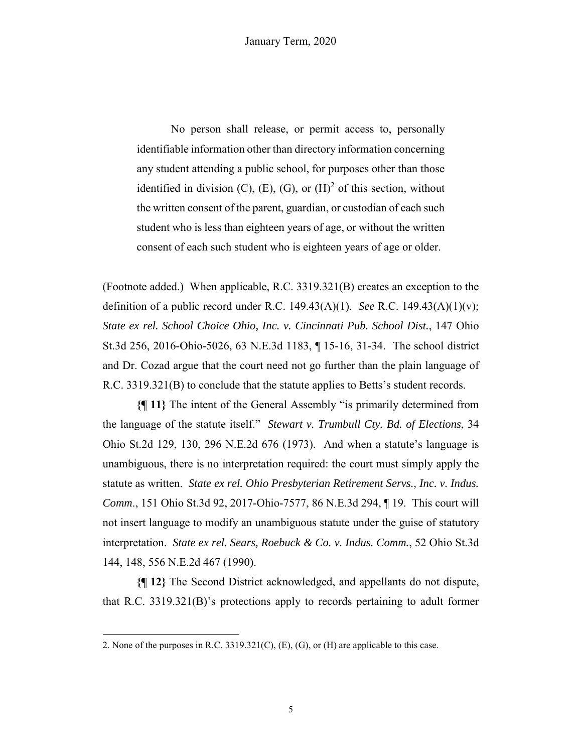No person shall release, or permit access to, personally identifiable information other than directory information concerning any student attending a public school, for purposes other than those identified in division (C), (E), (G), or  $(H)^2$  of this section, without the written consent of the parent, guardian, or custodian of each such student who is less than eighteen years of age, or without the written consent of each such student who is eighteen years of age or older.

(Footnote added.) When applicable, R.C. 3319.321(B) creates an exception to the definition of a public record under R.C. 149.43(A)(1). *See* R.C. 149.43(A)(1)(v); *State ex rel. School Choice Ohio, Inc. v. Cincinnati Pub. School Dist.*, 147 Ohio St.3d 256, 2016-Ohio-5026, 63 N.E.3d 1183, ¶ 15-16, 31-34. The school district and Dr. Cozad argue that the court need not go further than the plain language of R.C. 3319.321(B) to conclude that the statute applies to Betts's student records.

**{¶ 11}** The intent of the General Assembly "is primarily determined from the language of the statute itself." *Stewart v. Trumbull Cty. Bd. of Elections*, 34 Ohio St.2d 129, 130, 296 N.E.2d 676 (1973). And when a statute's language is unambiguous, there is no interpretation required: the court must simply apply the statute as written. *State ex rel. Ohio Presbyterian Retirement Servs., Inc. v. Indus. Comm*., 151 Ohio St.3d 92, 2017-Ohio-7577, 86 N.E.3d 294, ¶ 19. This court will not insert language to modify an unambiguous statute under the guise of statutory interpretation. *State ex rel. Sears, Roebuck & Co. v. Indus. Comm.*, 52 Ohio St.3d 144, 148, 556 N.E.2d 467 (1990).

**{¶ 12}** The Second District acknowledged, and appellants do not dispute, that R.C. 3319.321(B)'s protections apply to records pertaining to adult former

1

<sup>2.</sup> None of the purposes in R.C. 3319.321(C), (E), (G), or (H) are applicable to this case.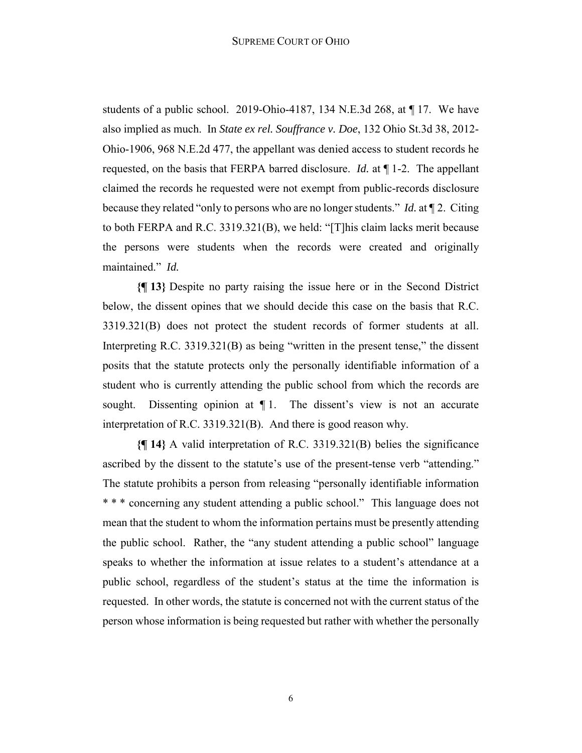students of a public school. 2019-Ohio-4187, 134 N.E.3d 268, at ¶ 17. We have also implied as much. In *State ex rel. Souffrance v. Doe*, 132 Ohio St.3d 38, 2012- Ohio-1906, 968 N.E.2d 477, the appellant was denied access to student records he requested, on the basis that FERPA barred disclosure. *Id.* at ¶ 1-2. The appellant claimed the records he requested were not exempt from public-records disclosure because they related "only to persons who are no longer students." *Id.* at ¶ 2. Citing to both FERPA and R.C. 3319.321(B), we held: "[T]his claim lacks merit because the persons were students when the records were created and originally maintained." *Id.*

**{¶ 13}** Despite no party raising the issue here or in the Second District below, the dissent opines that we should decide this case on the basis that R.C. 3319.321(B) does not protect the student records of former students at all. Interpreting R.C. 3319.321(B) as being "written in the present tense," the dissent posits that the statute protects only the personally identifiable information of a student who is currently attending the public school from which the records are sought. Dissenting opinion at  $\P$ 1. The dissent's view is not an accurate interpretation of R.C. 3319.321(B). And there is good reason why.

**{¶ 14}** A valid interpretation of R.C. 3319.321(B) belies the significance ascribed by the dissent to the statute's use of the present-tense verb "attending." The statute prohibits a person from releasing "personally identifiable information \* \* \* concerning any student attending a public school." This language does not mean that the student to whom the information pertains must be presently attending the public school. Rather, the "any student attending a public school" language speaks to whether the information at issue relates to a student's attendance at a public school, regardless of the student's status at the time the information is requested. In other words, the statute is concerned not with the current status of the person whose information is being requested but rather with whether the personally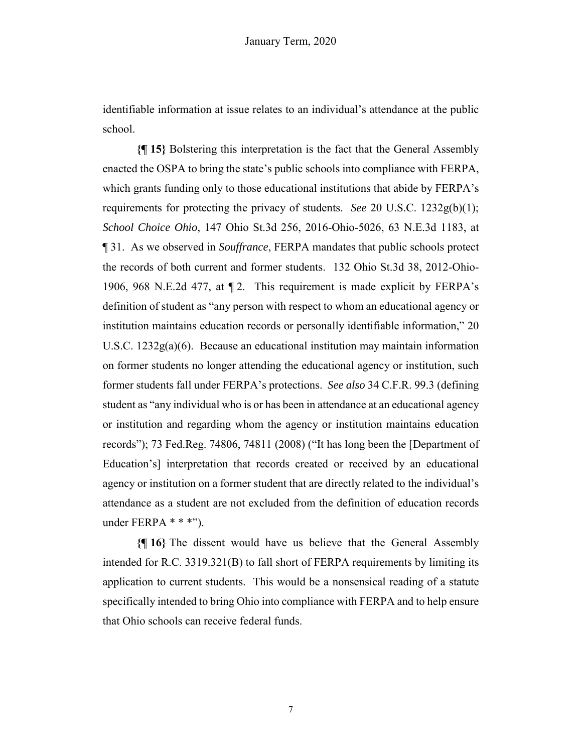identifiable information at issue relates to an individual's attendance at the public school.

**{¶ 15}** Bolstering this interpretation is the fact that the General Assembly enacted the OSPA to bring the state's public schools into compliance with FERPA, which grants funding only to those educational institutions that abide by FERPA's requirements for protecting the privacy of students. *See* 20 U.S.C.  $1232g(b)(1)$ ; *School Choice Ohio*, 147 Ohio St.3d 256, 2016-Ohio-5026, 63 N.E.3d 1183, at ¶ 31. As we observed in *Souffrance*, FERPA mandates that public schools protect the records of both current and former students. 132 Ohio St.3d 38, 2012-Ohio-1906, 968 N.E.2d 477, at ¶ 2. This requirement is made explicit by FERPA's definition of student as "any person with respect to whom an educational agency or institution maintains education records or personally identifiable information," 20 U.S.C. 1232g(a)(6). Because an educational institution may maintain information on former students no longer attending the educational agency or institution, such former students fall under FERPA's protections. *See also* 34 C.F.R. 99.3 (defining student as "any individual who is or has been in attendance at an educational agency or institution and regarding whom the agency or institution maintains education records"); 73 Fed.Reg. 74806, 74811 (2008) ("It has long been the [Department of Education's] interpretation that records created or received by an educational agency or institution on a former student that are directly related to the individual's attendance as a student are not excluded from the definition of education records under FERPA  $***$ ").

**{¶ 16}** The dissent would have us believe that the General Assembly intended for R.C. 3319.321(B) to fall short of FERPA requirements by limiting its application to current students. This would be a nonsensical reading of a statute specifically intended to bring Ohio into compliance with FERPA and to help ensure that Ohio schools can receive federal funds.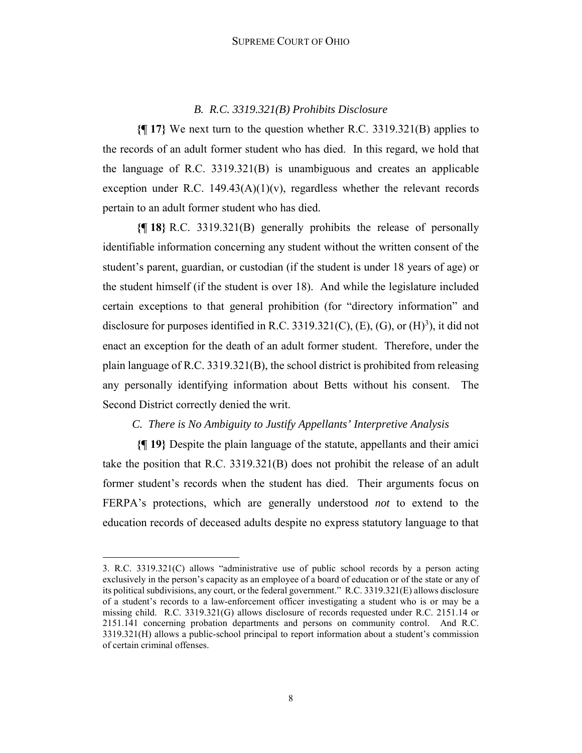#### *B. R.C. 3319.321(B) Prohibits Disclosure*

**{¶ 17}** We next turn to the question whether R.C. 3319.321(B) applies to the records of an adult former student who has died. In this regard, we hold that the language of R.C. 3319.321(B) is unambiguous and creates an applicable exception under R.C. 149.43(A)(1)(v), regardless whether the relevant records pertain to an adult former student who has died.

**{¶ 18}** R.C. 3319.321(B) generally prohibits the release of personally identifiable information concerning any student without the written consent of the student's parent, guardian, or custodian (if the student is under 18 years of age) or the student himself (if the student is over 18). And while the legislature included certain exceptions to that general prohibition (for "directory information" and disclosure for purposes identified in R.C. 3319.321(C), (E), (G), or  $(H)^3$ ), it did not enact an exception for the death of an adult former student. Therefore, under the plain language of R.C. 3319.321(B), the school district is prohibited from releasing any personally identifying information about Betts without his consent. The Second District correctly denied the writ.

# *C. There is No Ambiguity to Justify Appellants' Interpretive Analysis*

**{¶ 19}** Despite the plain language of the statute, appellants and their amici take the position that R.C. 3319.321(B) does not prohibit the release of an adult former student's records when the student has died. Their arguments focus on FERPA's protections, which are generally understood *not* to extend to the education records of deceased adults despite no express statutory language to that

1

<sup>3.</sup> R.C. 3319.321(C) allows "administrative use of public school records by a person acting exclusively in the person's capacity as an employee of a board of education or of the state or any of its political subdivisions, any court, or the federal government." R.C. 3319.321(E) allows disclosure of a student's records to a law-enforcement officer investigating a student who is or may be a missing child. R.C. 3319.321(G) allows disclosure of records requested under R.C. 2151.14 or 2151.141 concerning probation departments and persons on community control. And R.C. 3319.321(H) allows a public-school principal to report information about a student's commission of certain criminal offenses.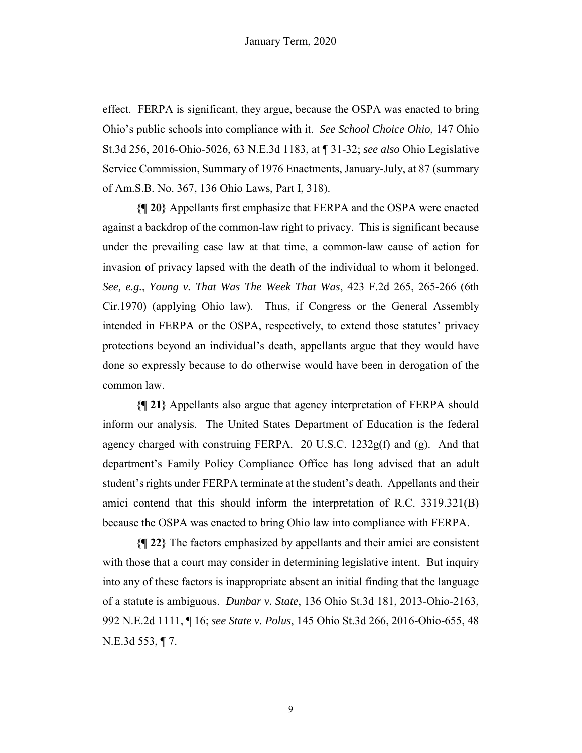effect. FERPA is significant, they argue, because the OSPA was enacted to bring Ohio's public schools into compliance with it. *See School Choice Ohio*, 147 Ohio St.3d 256, 2016-Ohio-5026, 63 N.E.3d 1183, at ¶ 31-32; *see also* Ohio Legislative Service Commission, Summary of 1976 Enactments, January-July, at 87 (summary of Am.S.B. No. 367, 136 Ohio Laws, Part I, 318).

**{¶ 20}** Appellants first emphasize that FERPA and the OSPA were enacted against a backdrop of the common-law right to privacy. This is significant because under the prevailing case law at that time, a common-law cause of action for invasion of privacy lapsed with the death of the individual to whom it belonged. *See, e.g.*, *Young v. That Was The Week That Was*, 423 F.2d 265, 265-266 (6th Cir.1970) (applying Ohio law). Thus, if Congress or the General Assembly intended in FERPA or the OSPA, respectively, to extend those statutes' privacy protections beyond an individual's death, appellants argue that they would have done so expressly because to do otherwise would have been in derogation of the common law.

**{¶ 21}** Appellants also argue that agency interpretation of FERPA should inform our analysis. The United States Department of Education is the federal agency charged with construing FERPA. 20 U.S.C. 1232g(f) and (g). And that department's Family Policy Compliance Office has long advised that an adult student's rights under FERPA terminate at the student's death. Appellants and their amici contend that this should inform the interpretation of R.C. 3319.321(B) because the OSPA was enacted to bring Ohio law into compliance with FERPA.

**{¶ 22}** The factors emphasized by appellants and their amici are consistent with those that a court may consider in determining legislative intent. But inquiry into any of these factors is inappropriate absent an initial finding that the language of a statute is ambiguous. *Dunbar v. State*, 136 Ohio St.3d 181, 2013-Ohio-2163, 992 N.E.2d 1111, ¶ 16; *see State v. Polus*, 145 Ohio St.3d 266, 2016-Ohio-655, 48 N.E.3d 553, ¶ 7.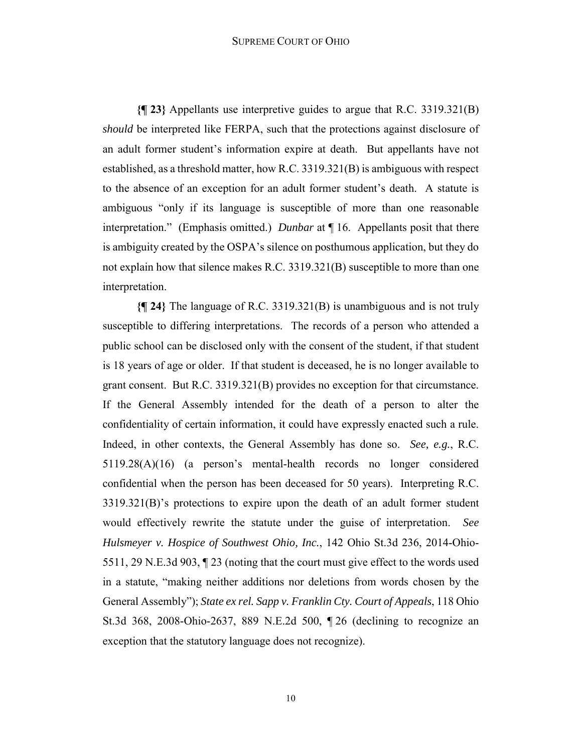#### SUPREME COURT OF OHIO

**{¶ 23}** Appellants use interpretive guides to argue that R.C. 3319.321(B) *should* be interpreted like FERPA, such that the protections against disclosure of an adult former student's information expire at death. But appellants have not established, as a threshold matter, how R.C. 3319.321(B) is ambiguous with respect to the absence of an exception for an adult former student's death. A statute is ambiguous "only if its language is susceptible of more than one reasonable interpretation." (Emphasis omitted.) *Dunbar* at ¶ 16. Appellants posit that there is ambiguity created by the OSPA's silence on posthumous application, but they do not explain how that silence makes R.C. 3319.321(B) susceptible to more than one interpretation.

**{¶ 24}** The language of R.C. 3319.321(B) is unambiguous and is not truly susceptible to differing interpretations. The records of a person who attended a public school can be disclosed only with the consent of the student, if that student is 18 years of age or older. If that student is deceased, he is no longer available to grant consent. But R.C. 3319.321(B) provides no exception for that circumstance. If the General Assembly intended for the death of a person to alter the confidentiality of certain information, it could have expressly enacted such a rule. Indeed, in other contexts, the General Assembly has done so. *See, e.g.*, R.C. 5119.28(A)(16) (a person's mental-health records no longer considered confidential when the person has been deceased for 50 years). Interpreting R.C. 3319.321(B)'s protections to expire upon the death of an adult former student would effectively rewrite the statute under the guise of interpretation. *See Hulsmeyer v. Hospice of Southwest Ohio, Inc.*, 142 Ohio St.3d 236, 2014-Ohio-5511, 29 N.E.3d 903, ¶ 23 (noting that the court must give effect to the words used in a statute, "making neither additions nor deletions from words chosen by the General Assembly"); *State ex rel. Sapp v. Franklin Cty. Court of Appeals*, 118 Ohio St.3d 368, 2008-Ohio-2637, 889 N.E.2d 500, ¶ 26 (declining to recognize an exception that the statutory language does not recognize).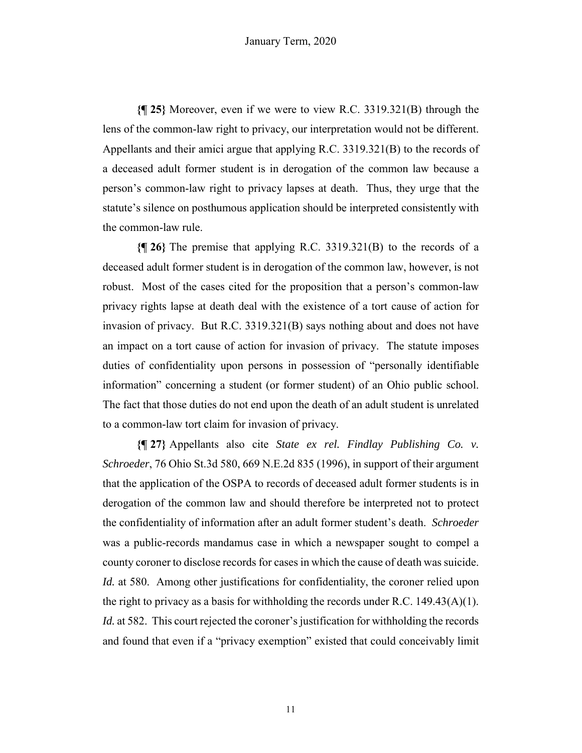**{¶ 25}** Moreover, even if we were to view R.C. 3319.321(B) through the lens of the common-law right to privacy, our interpretation would not be different. Appellants and their amici argue that applying R.C. 3319.321(B) to the records of a deceased adult former student is in derogation of the common law because a person's common-law right to privacy lapses at death. Thus, they urge that the statute's silence on posthumous application should be interpreted consistently with the common-law rule.

**{¶ 26}** The premise that applying R.C. 3319.321(B) to the records of a deceased adult former student is in derogation of the common law, however, is not robust. Most of the cases cited for the proposition that a person's common-law privacy rights lapse at death deal with the existence of a tort cause of action for invasion of privacy. But R.C. 3319.321(B) says nothing about and does not have an impact on a tort cause of action for invasion of privacy. The statute imposes duties of confidentiality upon persons in possession of "personally identifiable information" concerning a student (or former student) of an Ohio public school. The fact that those duties do not end upon the death of an adult student is unrelated to a common-law tort claim for invasion of privacy.

**{¶ 27}** Appellants also cite *State ex rel. Findlay Publishing Co. v. Schroeder*, 76 Ohio St.3d 580, 669 N.E.2d 835 (1996), in support of their argument that the application of the OSPA to records of deceased adult former students is in derogation of the common law and should therefore be interpreted not to protect the confidentiality of information after an adult former student's death. *Schroeder*  was a public-records mandamus case in which a newspaper sought to compel a county coroner to disclose records for cases in which the cause of death was suicide. *Id.* at 580. Among other justifications for confidentiality, the coroner relied upon the right to privacy as a basis for withholding the records under R.C. 149.43(A)(1). *Id.* at 582. This court rejected the coroner's justification for withholding the records and found that even if a "privacy exemption" existed that could conceivably limit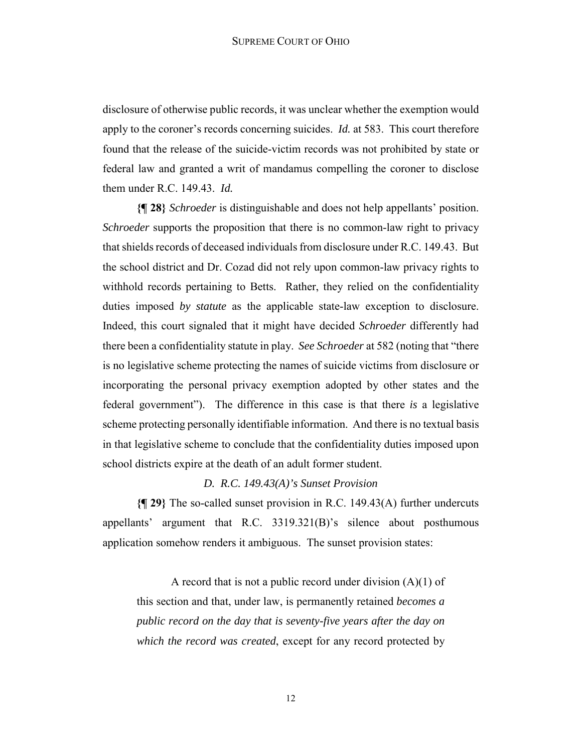disclosure of otherwise public records, it was unclear whether the exemption would apply to the coroner's records concerning suicides. *Id.* at 583. This court therefore found that the release of the suicide-victim records was not prohibited by state or federal law and granted a writ of mandamus compelling the coroner to disclose them under R.C. 149.43. *Id.*

**{¶ 28}** *Schroeder* is distinguishable and does not help appellants' position. *Schroeder* supports the proposition that there is no common-law right to privacy that shields records of deceased individuals from disclosure under R.C. 149.43. But the school district and Dr. Cozad did not rely upon common-law privacy rights to withhold records pertaining to Betts. Rather, they relied on the confidentiality duties imposed *by statute* as the applicable state-law exception to disclosure. Indeed, this court signaled that it might have decided *Schroeder* differently had there been a confidentiality statute in play. *See Schroeder* at 582 (noting that "there is no legislative scheme protecting the names of suicide victims from disclosure or incorporating the personal privacy exemption adopted by other states and the federal government"). The difference in this case is that there *is* a legislative scheme protecting personally identifiable information. And there is no textual basis in that legislative scheme to conclude that the confidentiality duties imposed upon school districts expire at the death of an adult former student.

# *D. R.C. 149.43(A)'s Sunset Provision*

**{¶ 29}** The so-called sunset provision in R.C. 149.43(A) further undercuts appellants' argument that R.C. 3319.321(B)'s silence about posthumous application somehow renders it ambiguous. The sunset provision states:

A record that is not a public record under division  $(A)(1)$  of this section and that, under law, is permanently retained *becomes a public record on the day that is seventy-five years after the day on which the record was created*, except for any record protected by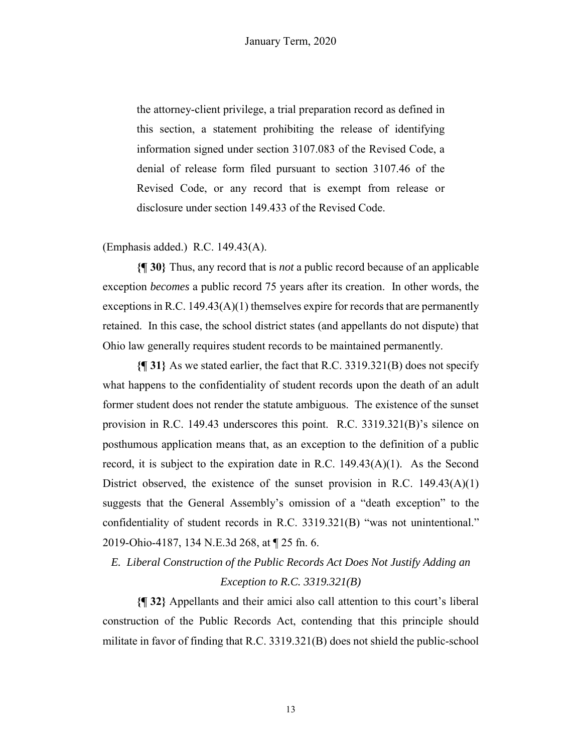the attorney-client privilege, a trial preparation record as defined in this section, a statement prohibiting the release of identifying information signed under section 3107.083 of the Revised Code, a denial of release form filed pursuant to section 3107.46 of the Revised Code, or any record that is exempt from release or disclosure under section 149.433 of the Revised Code.

(Emphasis added.) R.C. 149.43(A).

**{¶ 30}** Thus, any record that is *not* a public record because of an applicable exception *becomes* a public record 75 years after its creation. In other words, the exceptions in R.C.  $149.43(A)(1)$  themselves expire for records that are permanently retained. In this case, the school district states (and appellants do not dispute) that Ohio law generally requires student records to be maintained permanently.

**{¶ 31}** As we stated earlier, the fact that R.C. 3319.321(B) does not specify what happens to the confidentiality of student records upon the death of an adult former student does not render the statute ambiguous. The existence of the sunset provision in R.C. 149.43 underscores this point. R.C. 3319.321(B)'s silence on posthumous application means that, as an exception to the definition of a public record, it is subject to the expiration date in R.C.  $149.43(A)(1)$ . As the Second District observed, the existence of the sunset provision in R.C.  $149.43(A)(1)$ suggests that the General Assembly's omission of a "death exception" to the confidentiality of student records in R.C. 3319.321(B) "was not unintentional." 2019-Ohio-4187, 134 N.E.3d 268, at ¶ 25 fn. 6.

# *E. Liberal Construction of the Public Records Act Does Not Justify Adding an Exception to R.C. 3319.321(B)*

**{¶ 32}** Appellants and their amici also call attention to this court's liberal construction of the Public Records Act, contending that this principle should militate in favor of finding that R.C. 3319.321(B) does not shield the public-school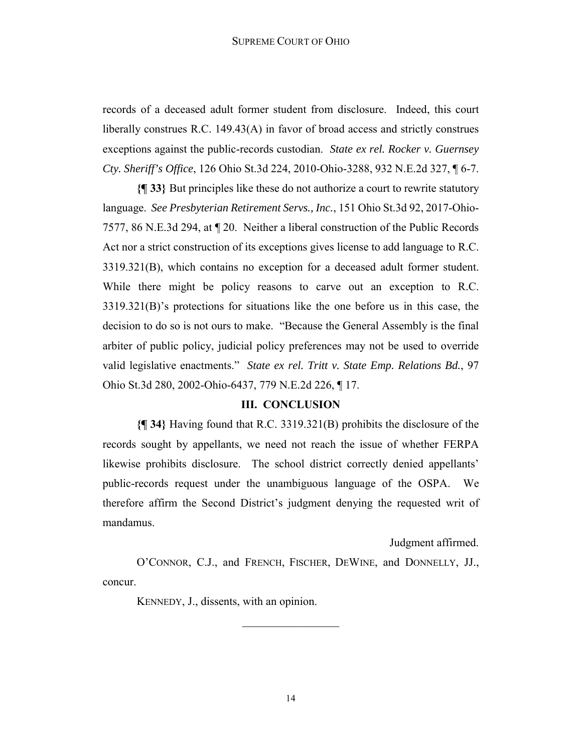#### SUPREME COURT OF OHIO

records of a deceased adult former student from disclosure. Indeed, this court liberally construes R.C. 149.43(A) in favor of broad access and strictly construes exceptions against the public-records custodian. *State ex rel. Rocker v. Guernsey Cty. Sheriff's Office*, 126 Ohio St.3d 224, 2010-Ohio-3288, 932 N.E.2d 327, ¶ 6-7.

**{¶ 33}** But principles like these do not authorize a court to rewrite statutory language. *See Presbyterian Retirement Servs., Inc.*, 151 Ohio St.3d 92, 2017-Ohio-7577, 86 N.E.3d 294, at ¶ 20. Neither a liberal construction of the Public Records Act nor a strict construction of its exceptions gives license to add language to R.C. 3319.321(B), which contains no exception for a deceased adult former student. While there might be policy reasons to carve out an exception to R.C. 3319.321(B)'s protections for situations like the one before us in this case, the decision to do so is not ours to make. "Because the General Assembly is the final arbiter of public policy, judicial policy preferences may not be used to override valid legislative enactments." *State ex rel. Tritt v. State Emp. Relations Bd.*, 97 Ohio St.3d 280, 2002-Ohio-6437, 779 N.E.2d 226, ¶ 17.

## **III. CONCLUSION**

**{¶ 34}** Having found that R.C. 3319.321(B) prohibits the disclosure of the records sought by appellants, we need not reach the issue of whether FERPA likewise prohibits disclosure. The school district correctly denied appellants' public-records request under the unambiguous language of the OSPA. We therefore affirm the Second District's judgment denying the requested writ of mandamus.

Judgment affirmed.

O'CONNOR, C.J., and FRENCH, FISCHER, DEWINE, and DONNELLY, JJ., concur.

 $\frac{1}{2}$ 

KENNEDY, J., dissents, with an opinion.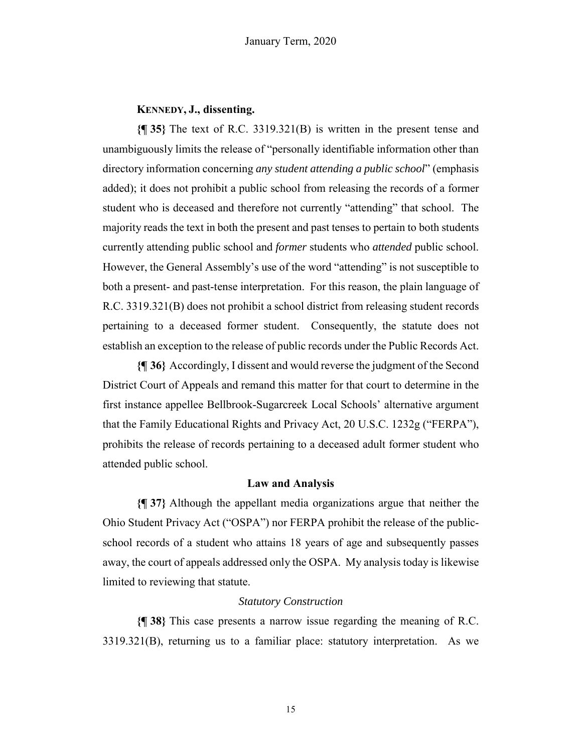# **KENNEDY, J., dissenting.**

**{¶ 35}** The text of R.C. 3319.321(B) is written in the present tense and unambiguously limits the release of "personally identifiable information other than directory information concerning *any student attending a public school*" (emphasis added); it does not prohibit a public school from releasing the records of a former student who is deceased and therefore not currently "attending" that school. The majority reads the text in both the present and past tenses to pertain to both students currently attending public school and *former* students who *attended* public school. However, the General Assembly's use of the word "attending" is not susceptible to both a present- and past-tense interpretation. For this reason, the plain language of R.C. 3319.321(B) does not prohibit a school district from releasing student records pertaining to a deceased former student. Consequently, the statute does not establish an exception to the release of public records under the Public Records Act.

**{¶ 36}** Accordingly, I dissent and would reverse the judgment of the Second District Court of Appeals and remand this matter for that court to determine in the first instance appellee Bellbrook-Sugarcreek Local Schools' alternative argument that the Family Educational Rights and Privacy Act, 20 U.S.C. 1232g ("FERPA"), prohibits the release of records pertaining to a deceased adult former student who attended public school.

# **Law and Analysis**

**{¶ 37}** Although the appellant media organizations argue that neither the Ohio Student Privacy Act ("OSPA") nor FERPA prohibit the release of the publicschool records of a student who attains 18 years of age and subsequently passes away, the court of appeals addressed only the OSPA. My analysis today is likewise limited to reviewing that statute.

# *Statutory Construction*

**{¶ 38}** This case presents a narrow issue regarding the meaning of R.C. 3319.321(B), returning us to a familiar place: statutory interpretation. As we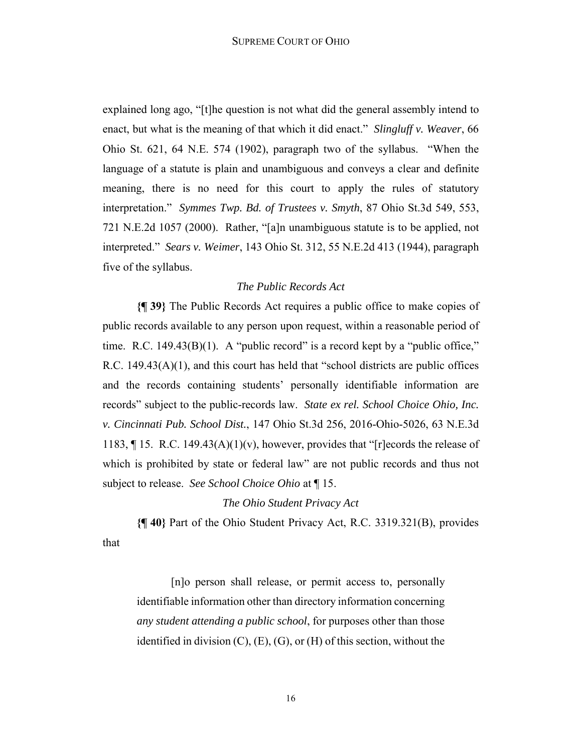explained long ago, "[t]he question is not what did the general assembly intend to enact, but what is the meaning of that which it did enact." *Slingluff v. Weaver*, 66 Ohio St. 621, 64 N.E. 574 (1902), paragraph two of the syllabus. "When the language of a statute is plain and unambiguous and conveys a clear and definite meaning, there is no need for this court to apply the rules of statutory interpretation." *Symmes Twp. Bd. of Trustees v. Smyth*, 87 Ohio St.3d 549, 553, 721 N.E.2d 1057 (2000). Rather, "[a]n unambiguous statute is to be applied, not interpreted." *Sears v. Weimer*, 143 Ohio St. 312, 55 N.E.2d 413 (1944), paragraph five of the syllabus.

#### *The Public Records Act*

**{¶ 39}** The Public Records Act requires a public office to make copies of public records available to any person upon request, within a reasonable period of time. R.C.  $149.43(B)(1)$ . A "public record" is a record kept by a "public office," R.C.  $149.43(A)(1)$ , and this court has held that "school districts are public offices and the records containing students' personally identifiable information are records" subject to the public-records law. *State ex rel. School Choice Ohio, Inc. v. Cincinnati Pub. School Dist.*, 147 Ohio St.3d 256, 2016-Ohio-5026, 63 N.E.3d 1183,  $\P$  15. R.C. 149.43(A)(1)(v), however, provides that "[r]ecords the release of which is prohibited by state or federal law" are not public records and thus not subject to release. *See School Choice Ohio* at ¶ 15.

#### *The Ohio Student Privacy Act*

**{¶ 40}** Part of the Ohio Student Privacy Act, R.C. 3319.321(B), provides that

[n]o person shall release, or permit access to, personally identifiable information other than directory information concerning *any student attending a public school*, for purposes other than those identified in division (C), (E), (G), or (H) of this section, without the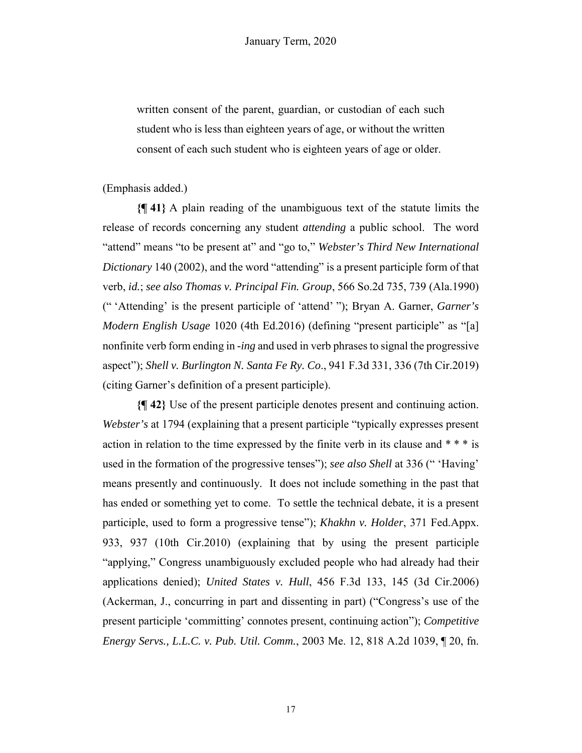written consent of the parent, guardian, or custodian of each such student who is less than eighteen years of age, or without the written consent of each such student who is eighteen years of age or older.

(Emphasis added.)

**{¶ 41}** A plain reading of the unambiguous text of the statute limits the release of records concerning any student *attending* a public school. The word "attend" means "to be present at" and "go to," *Webster's Third New International Dictionary* 140 (2002), and the word "attending" is a present participle form of that verb, *id.*; *see also Thomas v. Principal Fin. Group*, 566 So.2d 735, 739 (Ala.1990) (" 'Attending' is the present participle of 'attend' "); Bryan A. Garner, *Garner's Modern English Usage* 1020 (4th Ed.2016) (defining "present participle" as "[a] nonfinite verb form ending in *-ing* and used in verb phrases to signal the progressive aspect"); *Shell v. Burlington N. Santa Fe Ry. Co*., 941 F.3d 331, 336 (7th Cir.2019) (citing Garner's definition of a present participle).

**{¶ 42}** Use of the present participle denotes present and continuing action. *Webster's* at 1794 (explaining that a present participle "typically expresses present action in relation to the time expressed by the finite verb in its clause and \* \* \* is used in the formation of the progressive tenses"); *see also Shell* at 336 (" 'Having' means presently and continuously. It does not include something in the past that has ended or something yet to come. To settle the technical debate, it is a present participle, used to form a progressive tense"); *Khakhn v. Holder*, 371 Fed.Appx. 933, 937 (10th Cir.2010) (explaining that by using the present participle "applying," Congress unambiguously excluded people who had already had their applications denied); *United States v. Hull*, 456 F.3d 133, 145 (3d Cir.2006) (Ackerman, J., concurring in part and dissenting in part) ("Congress's use of the present participle 'committing' connotes present, continuing action"); *Competitive Energy Servs., L.L.C. v. Pub. Util. Comm.*, 2003 Me. 12, 818 A.2d 1039, ¶ 20, fn.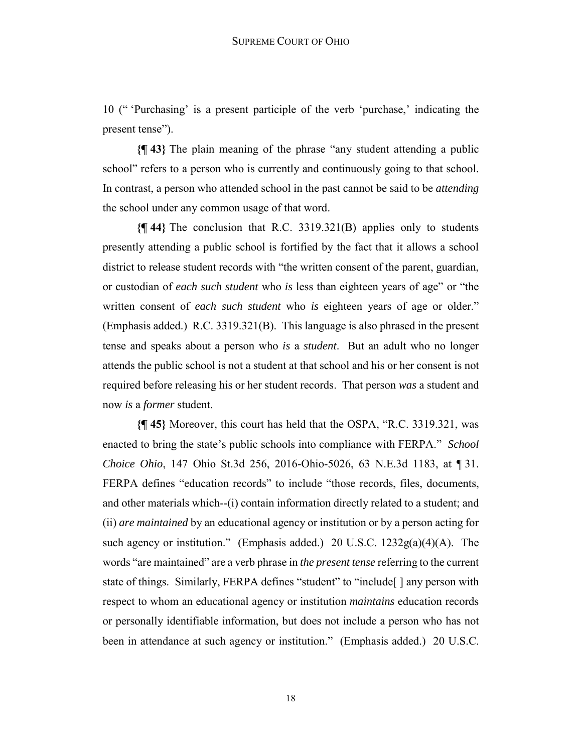10 (" 'Purchasing' is a present participle of the verb 'purchase,' indicating the present tense").

**{¶ 43}** The plain meaning of the phrase "any student attending a public school" refers to a person who is currently and continuously going to that school. In contrast, a person who attended school in the past cannot be said to be *attending* the school under any common usage of that word.

**{¶ 44}** The conclusion that R.C. 3319.321(B) applies only to students presently attending a public school is fortified by the fact that it allows a school district to release student records with "the written consent of the parent, guardian, or custodian of *each such student* who *is* less than eighteen years of age" or "the written consent of *each such student* who *is* eighteen years of age or older." (Emphasis added.) R.C. 3319.321(B). This language is also phrased in the present tense and speaks about a person who *is* a *student*. But an adult who no longer attends the public school is not a student at that school and his or her consent is not required before releasing his or her student records. That person *was* a student and now *is* a *former* student.

**{¶ 45}** Moreover, this court has held that the OSPA, "R.C. 3319.321, was enacted to bring the state's public schools into compliance with FERPA." *School Choice Ohio*, 147 Ohio St.3d 256, 2016-Ohio-5026, 63 N.E.3d 1183, at ¶ 31. FERPA defines "education records" to include "those records, files, documents, and other materials which--(i) contain information directly related to a student; and (ii) *are maintained* by an educational agency or institution or by a person acting for such agency or institution." (Emphasis added.) 20 U.S.C. 1232g(a)(4)(A). The words "are maintained" are a verb phrase in *the present tense* referring to the current state of things. Similarly, FERPA defines "student" to "include[ ] any person with respect to whom an educational agency or institution *maintains* education records or personally identifiable information, but does not include a person who has not been in attendance at such agency or institution." (Emphasis added.) 20 U.S.C.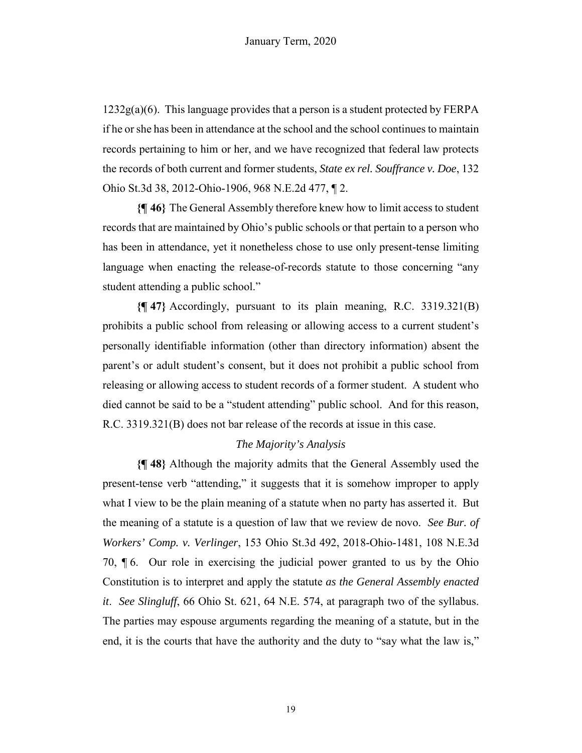$1232g(a)(6)$ . This language provides that a person is a student protected by FERPA if he or she has been in attendance at the school and the school continues to maintain records pertaining to him or her, and we have recognized that federal law protects the records of both current and former students, *State ex rel. Souffrance v. Doe*, 132 Ohio St.3d 38, 2012-Ohio-1906, 968 N.E.2d 477, ¶ 2.

**{¶ 46}** The General Assembly therefore knew how to limit access to student records that are maintained by Ohio's public schools or that pertain to a person who has been in attendance, yet it nonetheless chose to use only present-tense limiting language when enacting the release-of-records statute to those concerning "any student attending a public school."

**{¶ 47}** Accordingly, pursuant to its plain meaning, R.C. 3319.321(B) prohibits a public school from releasing or allowing access to a current student's personally identifiable information (other than directory information) absent the parent's or adult student's consent, but it does not prohibit a public school from releasing or allowing access to student records of a former student. A student who died cannot be said to be a "student attending" public school. And for this reason, R.C. 3319.321(B) does not bar release of the records at issue in this case.

# *The Majority's Analysis*

**{¶ 48}** Although the majority admits that the General Assembly used the present-tense verb "attending," it suggests that it is somehow improper to apply what I view to be the plain meaning of a statute when no party has asserted it. But the meaning of a statute is a question of law that we review de novo. *See Bur. of Workers' Comp. v. Verlinger*, 153 Ohio St.3d 492, 2018-Ohio-1481, 108 N.E.3d 70, ¶ 6. Our role in exercising the judicial power granted to us by the Ohio Constitution is to interpret and apply the statute *as the General Assembly enacted it*. *See Slingluff*, 66 Ohio St. 621, 64 N.E. 574, at paragraph two of the syllabus. The parties may espouse arguments regarding the meaning of a statute, but in the end, it is the courts that have the authority and the duty to "say what the law is,"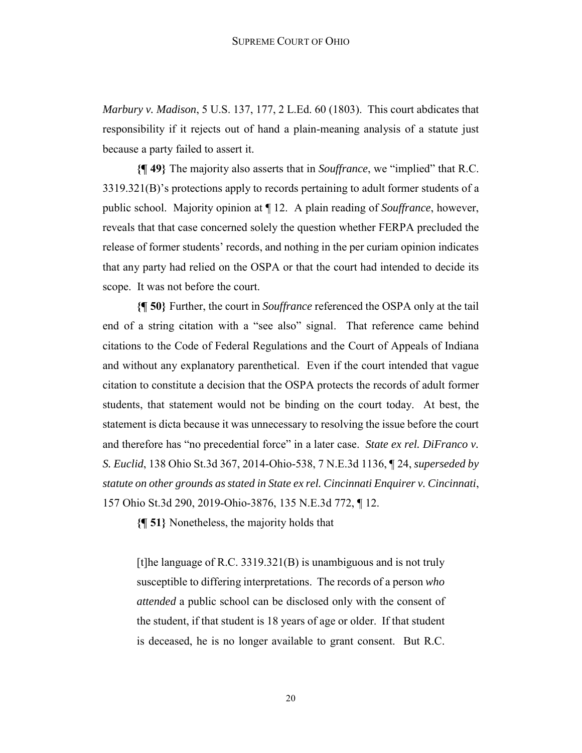*Marbury v. Madison*, 5 U.S. 137, 177, 2 L.Ed. 60 (1803). This court abdicates that responsibility if it rejects out of hand a plain-meaning analysis of a statute just because a party failed to assert it.

**{¶ 49}** The majority also asserts that in *Souffrance*, we "implied" that R.C. 3319.321(B)'s protections apply to records pertaining to adult former students of a public school. Majority opinion at ¶ 12. A plain reading of *Souffrance*, however, reveals that that case concerned solely the question whether FERPA precluded the release of former students' records, and nothing in the per curiam opinion indicates that any party had relied on the OSPA or that the court had intended to decide its scope. It was not before the court.

**{¶ 50}** Further, the court in *Souffrance* referenced the OSPA only at the tail end of a string citation with a "see also" signal. That reference came behind citations to the Code of Federal Regulations and the Court of Appeals of Indiana and without any explanatory parenthetical. Even if the court intended that vague citation to constitute a decision that the OSPA protects the records of adult former students, that statement would not be binding on the court today. At best, the statement is dicta because it was unnecessary to resolving the issue before the court and therefore has "no precedential force" in a later case. *State ex rel. DiFranco v. S. Euclid*, 138 Ohio St.3d 367, 2014-Ohio-538, 7 N.E.3d 1136, ¶ 24, *superseded by statute on other grounds as stated in State ex rel. Cincinnati Enquirer v. Cincinnati*, 157 Ohio St.3d 290, 2019-Ohio-3876, 135 N.E.3d 772, ¶ 12.

**{¶ 51}** Nonetheless, the majority holds that

[t]he language of R.C. 3319.321(B) is unambiguous and is not truly susceptible to differing interpretations. The records of a person *who attended* a public school can be disclosed only with the consent of the student, if that student is 18 years of age or older. If that student is deceased, he is no longer available to grant consent. But R.C.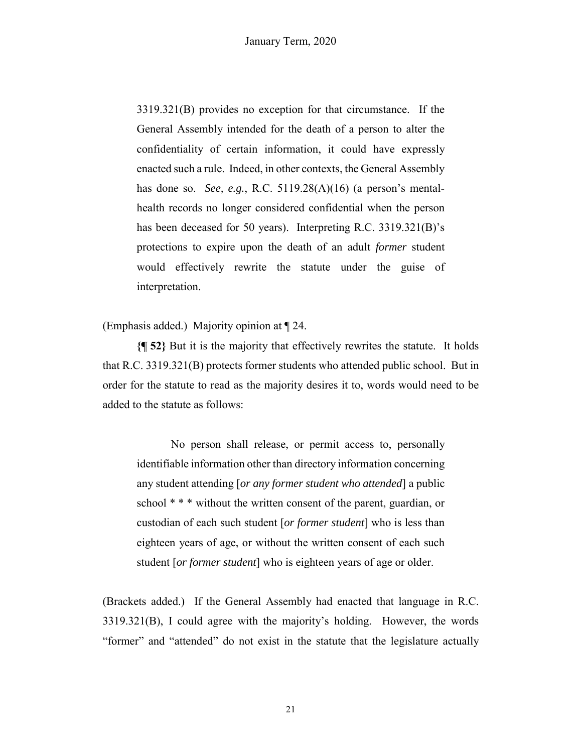3319.321(B) provides no exception for that circumstance. If the General Assembly intended for the death of a person to alter the confidentiality of certain information, it could have expressly enacted such a rule. Indeed, in other contexts, the General Assembly has done so. *See, e.g.*, R.C. 5119.28(A)(16) (a person's mentalhealth records no longer considered confidential when the person has been deceased for 50 years). Interpreting R.C. 3319.321(B)'s protections to expire upon the death of an adult *former* student would effectively rewrite the statute under the guise of interpretation.

(Emphasis added.) Majority opinion at ¶ 24.

**{¶ 52}** But it is the majority that effectively rewrites the statute. It holds that R.C. 3319.321(B) protects former students who attended public school. But in order for the statute to read as the majority desires it to, words would need to be added to the statute as follows:

No person shall release, or permit access to, personally identifiable information other than directory information concerning any student attending [*or any former student who attended*] a public school \* \* \* without the written consent of the parent, guardian, or custodian of each such student [*or former student*] who is less than eighteen years of age, or without the written consent of each such student [*or former student*] who is eighteen years of age or older.

(Brackets added.) If the General Assembly had enacted that language in R.C. 3319.321(B), I could agree with the majority's holding. However, the words "former" and "attended" do not exist in the statute that the legislature actually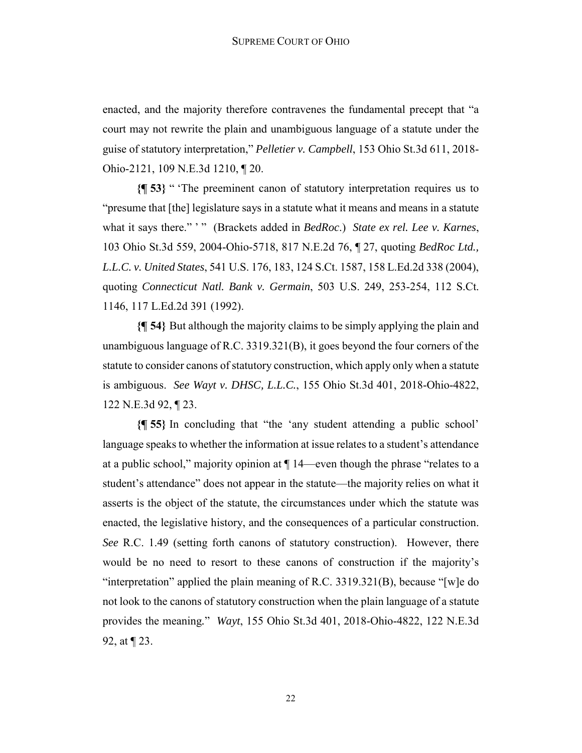enacted, and the majority therefore contravenes the fundamental precept that "a court may not rewrite the plain and unambiguous language of a statute under the guise of statutory interpretation," *Pelletier v. Campbell*, 153 Ohio St.3d 611, 2018- Ohio-2121, 109 N.E.3d 1210, ¶ 20.

**{¶ 53}** " 'The preeminent canon of statutory interpretation requires us to "presume that [the] legislature says in a statute what it means and means in a statute what it says there." ' " (Brackets added in *BedRoc*.) *State ex rel. Lee v. Karnes*, 103 Ohio St.3d 559, 2004-Ohio-5718, 817 N.E.2d 76, ¶ 27, quoting *BedRoc Ltd., L.L.C. v. United States*, 541 U.S. 176, 183, 124 S.Ct. 1587, 158 L.Ed.2d 338 (2004), quoting *Connecticut Natl. Bank v. Germain*, 503 U.S. 249, 253-254, 112 S.Ct. 1146, 117 L.Ed.2d 391 (1992).

**{¶ 54}** But although the majority claims to be simply applying the plain and unambiguous language of R.C. 3319.321(B), it goes beyond the four corners of the statute to consider canons of statutory construction, which apply only when a statute is ambiguous. *See Wayt v. DHSC, L.L.C.*, 155 Ohio St.3d 401, 2018-Ohio-4822, 122 N.E.3d 92, ¶ 23.

**{¶ 55}** In concluding that "the 'any student attending a public school' language speaks to whether the information at issue relates to a student's attendance at a public school," majority opinion at ¶ 14—even though the phrase "relates to a student's attendance" does not appear in the statute—the majority relies on what it asserts is the object of the statute, the circumstances under which the statute was enacted, the legislative history, and the consequences of a particular construction. *See* R.C. 1.49 (setting forth canons of statutory construction). However, there would be no need to resort to these canons of construction if the majority's "interpretation" applied the plain meaning of R.C. 3319.321(B), because "[w]e do not look to the canons of statutory construction when the plain language of a statute provides the meaning*.*" *Wayt*, 155 Ohio St.3d 401, 2018-Ohio-4822, 122 N.E.3d 92, at ¶ 23.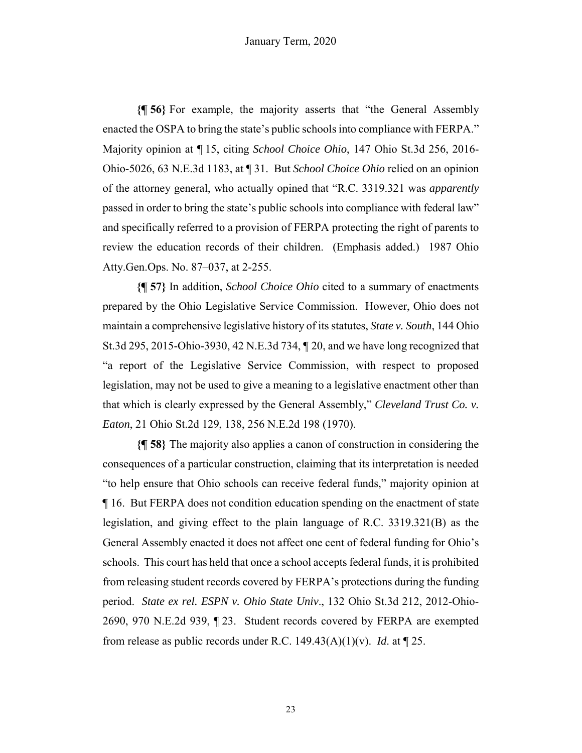**{¶ 56}** For example, the majority asserts that "the General Assembly enacted the OSPA to bring the state's public schools into compliance with FERPA." Majority opinion at ¶ 15, citing *School Choice Ohio*, 147 Ohio St.3d 256, 2016- Ohio-5026, 63 N.E.3d 1183, at ¶ 31. But *School Choice Ohio* relied on an opinion of the attorney general, who actually opined that "R.C. 3319.321 was *apparently* passed in order to bring the state's public schools into compliance with federal law" and specifically referred to a provision of FERPA protecting the right of parents to review the education records of their children. (Emphasis added.) 1987 Ohio Atty.Gen.Ops. No. 87–037, at 2-255.

**{¶ 57}** In addition, *School Choice Ohio* cited to a summary of enactments prepared by the Ohio Legislative Service Commission. However, Ohio does not maintain a comprehensive legislative history of its statutes, *State v. South*, 144 Ohio St.3d 295, 2015-Ohio-3930, 42 N.E.3d 734, ¶ 20, and we have long recognized that "a report of the Legislative Service Commission, with respect to proposed legislation, may not be used to give a meaning to a legislative enactment other than that which is clearly expressed by the General Assembly," *Cleveland Trust Co. v. Eaton*, 21 Ohio St.2d 129, 138, 256 N.E.2d 198 (1970).

**{¶ 58}** The majority also applies a canon of construction in considering the consequences of a particular construction, claiming that its interpretation is needed "to help ensure that Ohio schools can receive federal funds," majority opinion at ¶ 16. But FERPA does not condition education spending on the enactment of state legislation, and giving effect to the plain language of R.C. 3319.321(B) as the General Assembly enacted it does not affect one cent of federal funding for Ohio's schools. This court has held that once a school accepts federal funds, it is prohibited from releasing student records covered by FERPA's protections during the funding period. *State ex rel. ESPN v. Ohio State Univ*., 132 Ohio St.3d 212, 2012-Ohio-2690, 970 N.E.2d 939, ¶ 23. Student records covered by FERPA are exempted from release as public records under R.C. 149.43(A)(1)(v). *Id*. at ¶ 25.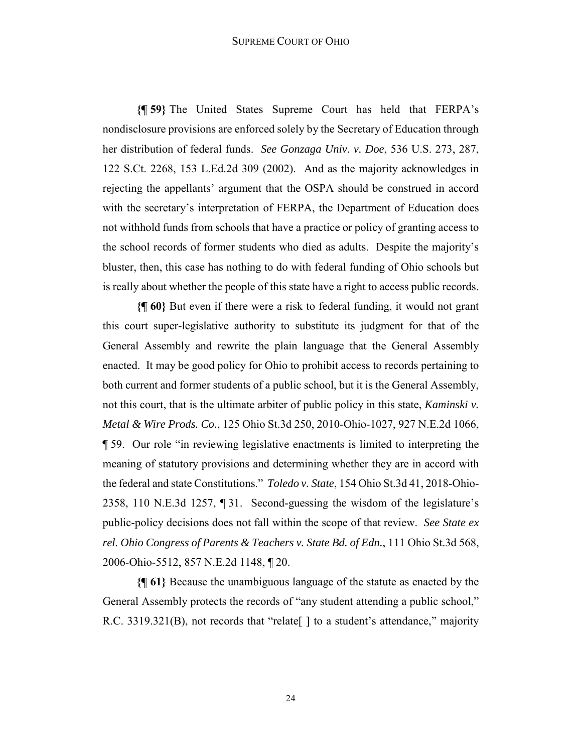#### SUPREME COURT OF OHIO

**{¶ 59}** The United States Supreme Court has held that FERPA's nondisclosure provisions are enforced solely by the Secretary of Education through her distribution of federal funds. *See Gonzaga Univ. v. Doe*, 536 U.S. 273, 287, 122 S.Ct. 2268, 153 L.Ed.2d 309 (2002). And as the majority acknowledges in rejecting the appellants' argument that the OSPA should be construed in accord with the secretary's interpretation of FERPA, the Department of Education does not withhold funds from schools that have a practice or policy of granting access to the school records of former students who died as adults. Despite the majority's bluster, then, this case has nothing to do with federal funding of Ohio schools but is really about whether the people of this state have a right to access public records.

**{¶ 60}** But even if there were a risk to federal funding, it would not grant this court super-legislative authority to substitute its judgment for that of the General Assembly and rewrite the plain language that the General Assembly enacted. It may be good policy for Ohio to prohibit access to records pertaining to both current and former students of a public school, but it is the General Assembly, not this court, that is the ultimate arbiter of public policy in this state, *Kaminski v. Metal & Wire Prods. Co.*, 125 Ohio St.3d 250, 2010-Ohio-1027, 927 N.E.2d 1066, ¶ 59. Our role "in reviewing legislative enactments is limited to interpreting the meaning of statutory provisions and determining whether they are in accord with the federal and state Constitutions." *Toledo v. State*, 154 Ohio St.3d 41, 2018-Ohio-2358, 110 N.E.3d 1257, ¶ 31. Second-guessing the wisdom of the legislature's public-policy decisions does not fall within the scope of that review. *See State ex rel. Ohio Congress of Parents & Teachers v. State Bd. of Edn.*, 111 Ohio St.3d 568, 2006-Ohio-5512, 857 N.E.2d 1148, ¶ 20.

**{¶ 61}** Because the unambiguous language of the statute as enacted by the General Assembly protects the records of "any student attending a public school," R.C. 3319.321(B), not records that "relate | | to a student's attendance," majority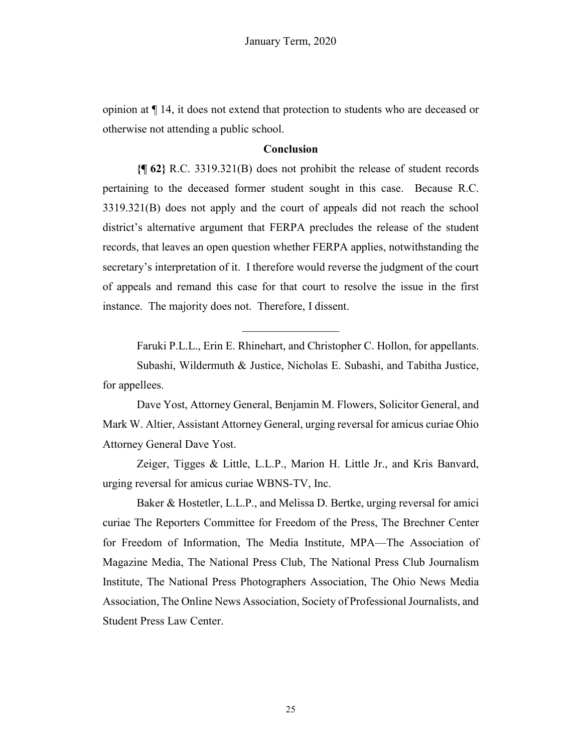opinion at ¶ 14, it does not extend that protection to students who are deceased or otherwise not attending a public school.

# **Conclusion**

**{¶ 62}** R.C. 3319.321(B) does not prohibit the release of student records pertaining to the deceased former student sought in this case. Because R.C. 3319.321(B) does not apply and the court of appeals did not reach the school district's alternative argument that FERPA precludes the release of the student records, that leaves an open question whether FERPA applies, notwithstanding the secretary's interpretation of it. I therefore would reverse the judgment of the court of appeals and remand this case for that court to resolve the issue in the first instance. The majority does not. Therefore, I dissent.

Faruki P.L.L., Erin E. Rhinehart, and Christopher C. Hollon, for appellants.

Subashi, Wildermuth & Justice, Nicholas E. Subashi, and Tabitha Justice, for appellees.

 $\mathcal{L}=\mathcal{L}^{\text{max}}$ 

Dave Yost, Attorney General, Benjamin M. Flowers, Solicitor General, and Mark W. Altier, Assistant Attorney General, urging reversal for amicus curiae Ohio Attorney General Dave Yost.

Zeiger, Tigges & Little, L.L.P., Marion H. Little Jr., and Kris Banvard, urging reversal for amicus curiae WBNS-TV, Inc.

Baker & Hostetler, L.L.P., and Melissa D. Bertke, urging reversal for amici curiae The Reporters Committee for Freedom of the Press, The Brechner Center for Freedom of Information, The Media Institute, MPA—The Association of Magazine Media, The National Press Club, The National Press Club Journalism Institute, The National Press Photographers Association, The Ohio News Media Association, The Online News Association, Society of Professional Journalists, and Student Press Law Center.